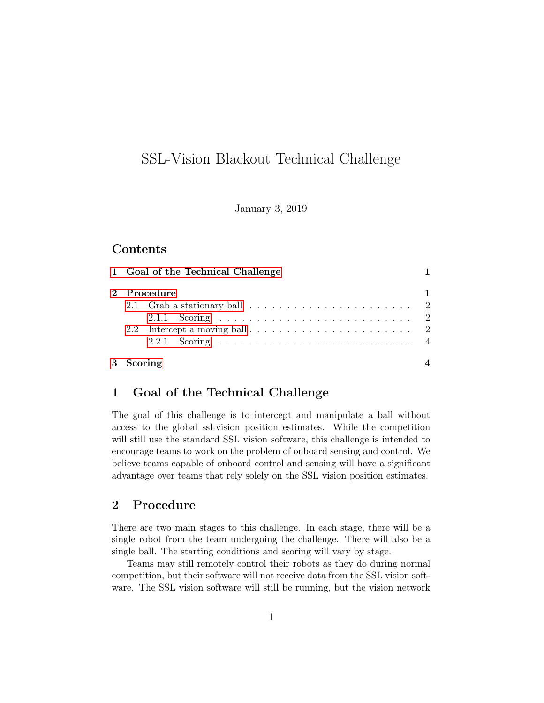# SSL-Vision Blackout Technical Challenge

January 3, 2019

# **Contents**

|             | 1 Goal of the Technical Challenge                                               |  |  |
|-------------|---------------------------------------------------------------------------------|--|--|
| 2 Procedure |                                                                                 |  |  |
|             | 2.1 Grab a stationary ball $\ldots \ldots \ldots \ldots \ldots \ldots \ldots 2$ |  |  |
|             |                                                                                 |  |  |
|             |                                                                                 |  |  |
|             |                                                                                 |  |  |
| 3 Scoring   |                                                                                 |  |  |

# <span id="page-0-0"></span>1 Goal of the Technical Challenge

The goal of this challenge is to intercept and manipulate a ball without access to the global ssl-vision position estimates. While the competition will still use the standard SSL vision software, this challenge is intended to encourage teams to work on the problem of onboard sensing and control. We believe teams capable of onboard control and sensing will have a significant advantage over teams that rely solely on the SSL vision position estimates.

### <span id="page-0-1"></span>2 Procedure

There are two main stages to this challenge. In each stage, there will be a single robot from the team undergoing the challenge. There will also be a single ball. The starting conditions and scoring will vary by stage.

Teams may still remotely control their robots as they do during normal competition, but their software will not receive data from the SSL vision software. The SSL vision software will still be running, but the vision network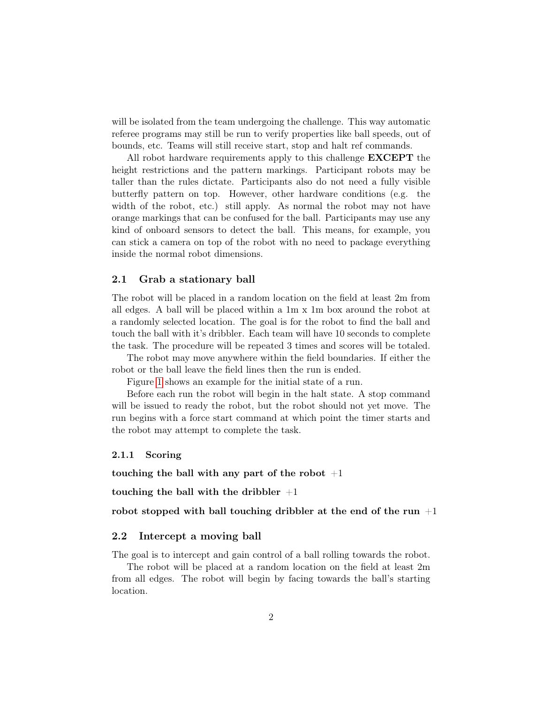will be isolated from the team undergoing the challenge. This way automatic referee programs may still be run to verify properties like ball speeds, out of bounds, etc. Teams will still receive start, stop and halt ref commands.

All robot hardware requirements apply to this challenge **EXCEPT** the height restrictions and the pattern markings. Participant robots may be taller than the rules dictate. Participants also do not need a fully visible butterfly pattern on top. However, other hardware conditions (e.g. the width of the robot, etc.) still apply. As normal the robot may not have orange markings that can be confused for the ball. Participants may use any kind of onboard sensors to detect the ball. This means, for example, you can stick a camera on top of the robot with no need to package everything inside the normal robot dimensions.

#### <span id="page-1-0"></span>2.1 Grab a stationary ball

The robot will be placed in a random location on the field at least 2m from all edges. A ball will be placed within a 1m x 1m box around the robot at a randomly selected location. The goal is for the robot to find the ball and touch the ball with it's dribbler. Each team will have 10 seconds to complete the task. The procedure will be repeated 3 times and scores will be totaled.

The robot may move anywhere within the field boundaries. If either the robot or the ball leave the field lines then the run is ended.

Figure [1](#page-2-0) shows an example for the initial state of a run.

Before each run the robot will begin in the halt state. A stop command will be issued to ready the robot, but the robot should not yet move. The run begins with a force start command at which point the timer starts and the robot may attempt to complete the task.

#### <span id="page-1-1"></span>2.1.1 Scoring

touching the ball with any part of the robot  $+1$ 

touching the ball with the dribbler  $+1$ 

robot stopped with ball touching dribbler at the end of the run  $+1$ 

#### <span id="page-1-2"></span>2.2 Intercept a moving ball

The goal is to intercept and gain control of a ball rolling towards the robot.

The robot will be placed at a random location on the field at least 2m from all edges. The robot will begin by facing towards the ball's starting location.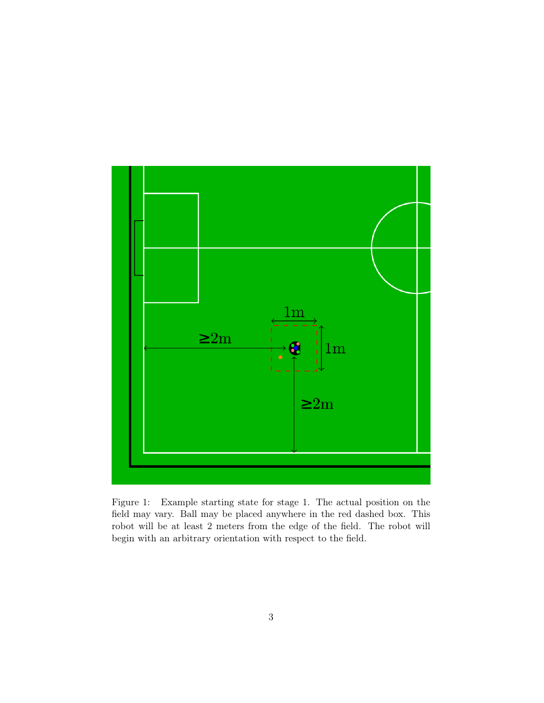

<span id="page-2-0"></span>Figure 1: Example starting state for stage 1. The actual position on the field may vary. Ball may be placed anywhere in the red dashed box. This robot will be at least 2 meters from the edge of the field. The robot will begin with an arbitrary orientation with respect to the field.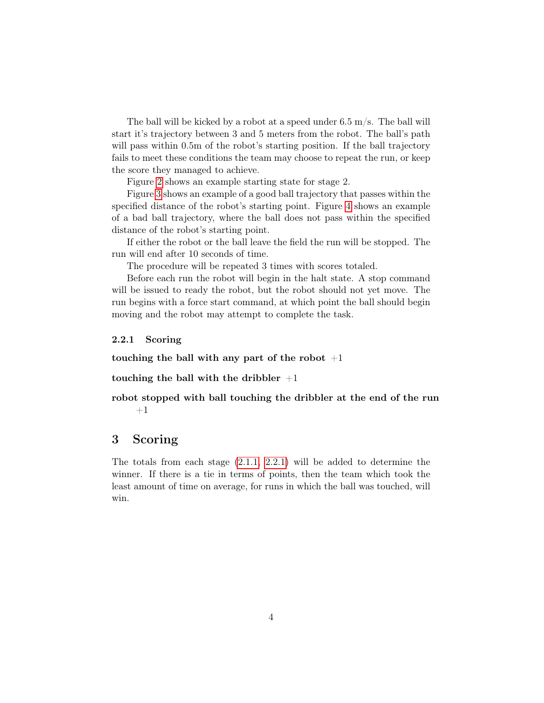The ball will be kicked by a robot at a speed under  $6.5 \text{ m/s}$ . The ball will start it's trajectory between 3 and 5 meters from the robot. The ball's path will pass within 0.5m of the robot's starting position. If the ball trajectory fails to meet these conditions the team may choose to repeat the run, or keep the score they managed to achieve.

Figure [2](#page-4-0) shows an example starting state for stage 2.

Figure [3](#page-5-0) shows an example of a good ball trajectory that passes within the specified distance of the robot's starting point. Figure [4](#page-6-0) shows an example of a bad ball trajectory, where the ball does not pass within the specified distance of the robot's starting point.

If either the robot or the ball leave the field the run will be stopped. The run will end after 10 seconds of time.

The procedure will be repeated 3 times with scores totaled.

Before each run the robot will begin in the halt state. A stop command will be issued to ready the robot, but the robot should not yet move. The run begins with a force start command, at which point the ball should begin moving and the robot may attempt to complete the task.

<span id="page-3-0"></span>2.2.1 Scoring

touching the ball with any part of the robot  $+1$ 

touching the ball with the dribbler  $+1$ 

robot stopped with ball touching the dribbler at the end of the run  $+1$ 

## <span id="page-3-1"></span>3 Scoring

The totals from each stage [\(2.1.1,](#page-1-1) [2.2.1\)](#page-3-0) will be added to determine the winner. If there is a tie in terms of points, then the team which took the least amount of time on average, for runs in which the ball was touched, will win.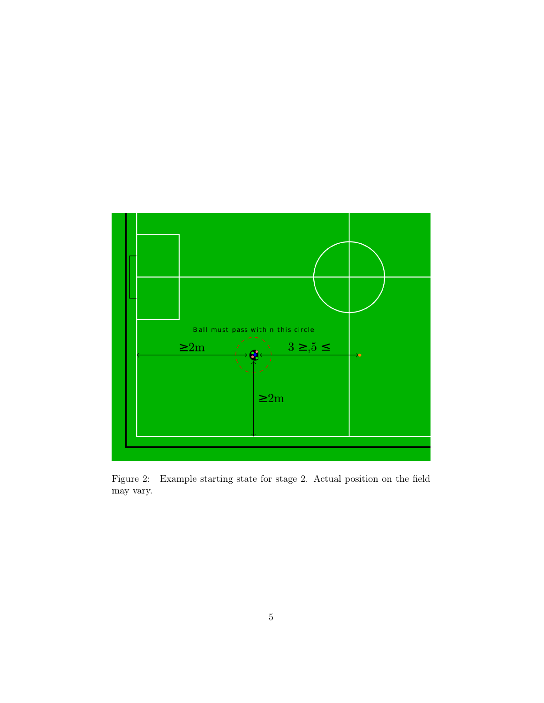

<span id="page-4-0"></span>Figure 2: Example starting state for stage 2. Actual position on the field may vary.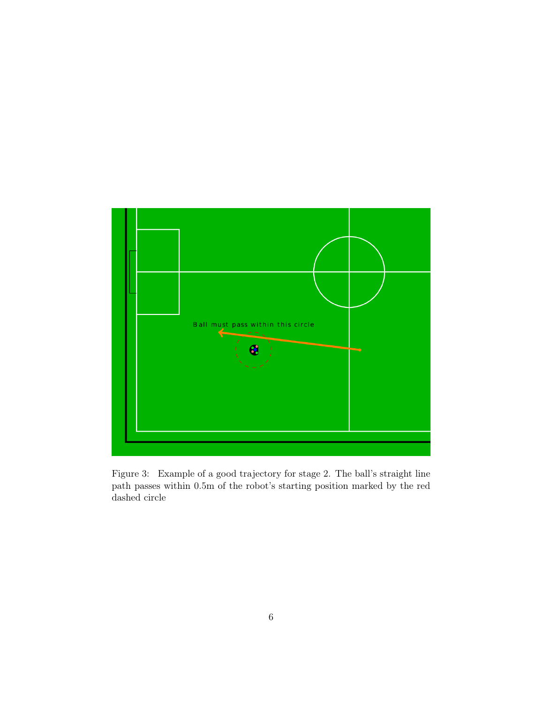<span id="page-5-0"></span>

Figure 3: Example of a good trajectory for stage 2. The ball's straight line path passes within 0.5m of the robot's starting position marked by the red dashed circle